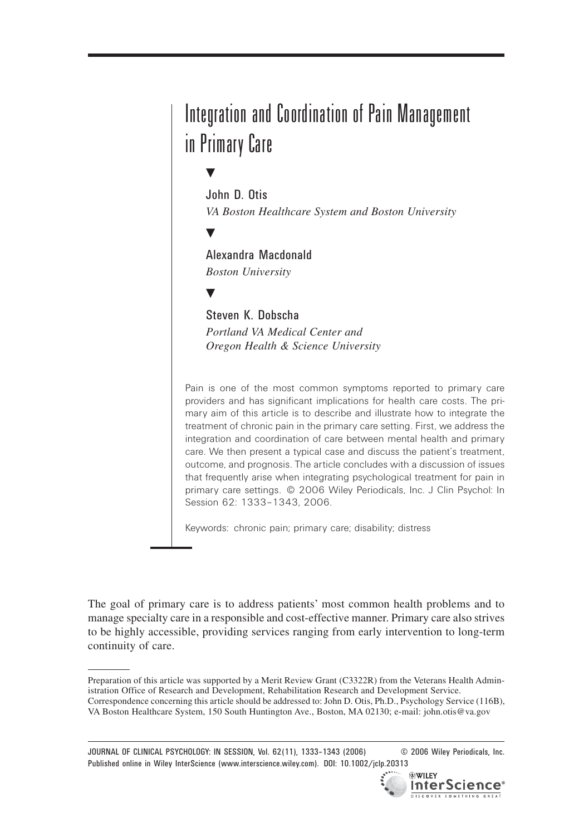# Integration and Coordination of Pain Management in Primary Care

▼

John D. Otis *VA Boston Healthcare System and Boston University*

 $\blacksquare$ 

Alexandra Macdonald *Boston University*

▼

Steven K. Dobscha

*Portland VA Medical Center and Oregon Health & Science University*

Pain is one of the most common symptoms reported to primary care providers and has significant implications for health care costs. The primary aim of this article is to describe and illustrate how to integrate the treatment of chronic pain in the primary care setting. First, we address the integration and coordination of care between mental health and primary care. We then present a typical case and discuss the patient's treatment, outcome, and prognosis. The article concludes with a discussion of issues that frequently arise when integrating psychological treatment for pain in primary care settings. © 2006 Wiley Periodicals, Inc. J Clin Psychol: In Session 62: 1333–1343, 2006.

Keywords: chronic pain; primary care; disability; distress

The goal of primary care is to address patients' most common health problems and to manage specialty care in a responsible and cost-effective manner. Primary care also strives to be highly accessible, providing services ranging from early intervention to long-term continuity of care.

JOURNAL OF CLINICAL PSYCHOLOGY: IN SESSION, Vol. 62(11), 1333–1343 (2006) © 2006 Wiley Periodicals, Inc. Published online in Wiley InterScience (www.interscience.wiley.com). DOI: 10.1002/jclp.20313



Preparation of this article was supported by a Merit Review Grant (C3322R) from the Veterans Health Administration Office of Research and Development, Rehabilitation Research and Development Service. Correspondence concerning this article should be addressed to: John D. Otis, Ph.D., Psychology Service (116B), VA Boston Healthcare System, 150 South Huntington Ave., Boston, MA 02130; e-mail: john.otis@va.gov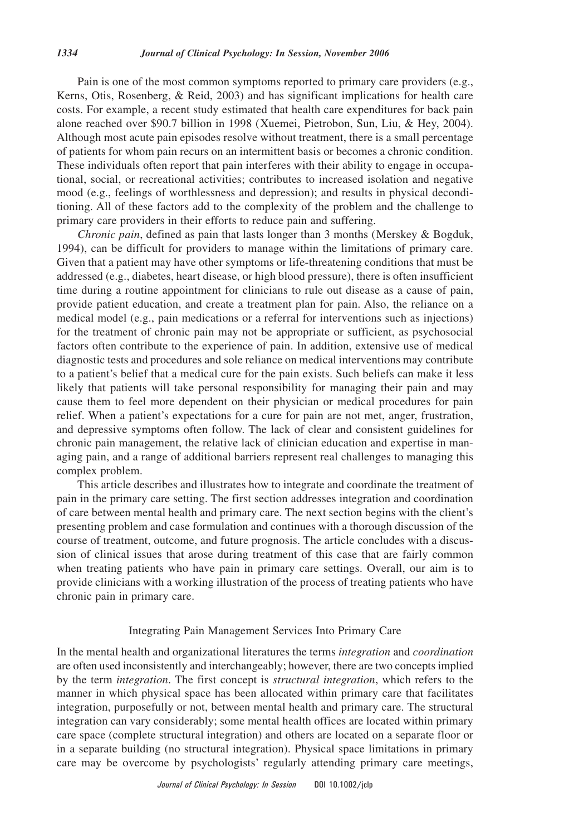Pain is one of the most common symptoms reported to primary care providers (e.g., Kerns, Otis, Rosenberg, & Reid, 2003) and has significant implications for health care costs. For example, a recent study estimated that health care expenditures for back pain alone reached over \$90.7 billion in 1998 (Xuemei, Pietrobon, Sun, Liu, & Hey, 2004). Although most acute pain episodes resolve without treatment, there is a small percentage of patients for whom pain recurs on an intermittent basis or becomes a chronic condition. These individuals often report that pain interferes with their ability to engage in occupational, social, or recreational activities; contributes to increased isolation and negative mood (e.g., feelings of worthlessness and depression); and results in physical deconditioning. All of these factors add to the complexity of the problem and the challenge to primary care providers in their efforts to reduce pain and suffering.

*Chronic pain*, defined as pain that lasts longer than 3 months (Merskey & Bogduk, 1994), can be difficult for providers to manage within the limitations of primary care. Given that a patient may have other symptoms or life-threatening conditions that must be addressed (e.g., diabetes, heart disease, or high blood pressure), there is often insufficient time during a routine appointment for clinicians to rule out disease as a cause of pain, provide patient education, and create a treatment plan for pain. Also, the reliance on a medical model (e.g., pain medications or a referral for interventions such as injections) for the treatment of chronic pain may not be appropriate or sufficient, as psychosocial factors often contribute to the experience of pain. In addition, extensive use of medical diagnostic tests and procedures and sole reliance on medical interventions may contribute to a patient's belief that a medical cure for the pain exists. Such beliefs can make it less likely that patients will take personal responsibility for managing their pain and may cause them to feel more dependent on their physician or medical procedures for pain relief. When a patient's expectations for a cure for pain are not met, anger, frustration, and depressive symptoms often follow. The lack of clear and consistent guidelines for chronic pain management, the relative lack of clinician education and expertise in managing pain, and a range of additional barriers represent real challenges to managing this complex problem.

This article describes and illustrates how to integrate and coordinate the treatment of pain in the primary care setting. The first section addresses integration and coordination of care between mental health and primary care. The next section begins with the client's presenting problem and case formulation and continues with a thorough discussion of the course of treatment, outcome, and future prognosis. The article concludes with a discussion of clinical issues that arose during treatment of this case that are fairly common when treating patients who have pain in primary care settings. Overall, our aim is to provide clinicians with a working illustration of the process of treating patients who have chronic pain in primary care.

## Integrating Pain Management Services Into Primary Care

In the mental health and organizational literatures the terms *integration* and *coordination* are often used inconsistently and interchangeably; however, there are two concepts implied by the term *integration*. The first concept is *structural integration*, which refers to the manner in which physical space has been allocated within primary care that facilitates integration, purposefully or not, between mental health and primary care. The structural integration can vary considerably; some mental health offices are located within primary care space (complete structural integration) and others are located on a separate floor or in a separate building (no structural integration). Physical space limitations in primary care may be overcome by psychologists' regularly attending primary care meetings,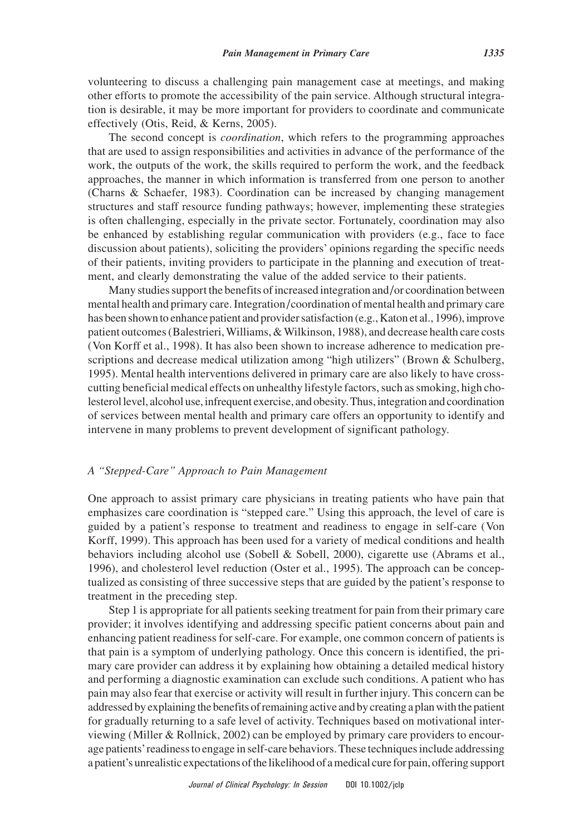volunteering to discuss a challenging pain management case at meetings, and making other efforts to promote the accessibility of the pain service. Although structural integration is desirable, it may be more important for providers to coordinate and communicate effectively (Otis, Reid, & Kerns, 2005).

The second concept is *coordination*, which refers to the programming approaches that are used to assign responsibilities and activities in advance of the performance of the work, the outputs of the work, the skills required to perform the work, and the feedback approaches, the manner in which information is transferred from one person to another (Charns & Schaefer, 1983). Coordination can be increased by changing management structures and staff resource funding pathways; however, implementing these strategies is often challenging, especially in the private sector. Fortunately, coordination may also be enhanced by establishing regular communication with providers (e.g., face to face discussion about patients), soliciting the providers' opinions regarding the specific needs of their patients, inviting providers to participate in the planning and execution of treatment, and clearly demonstrating the value of the added service to their patients.

Many studies support the benefits of increased integration and/or coordination between mental health and primary care. Integration/coordination of mental health and primary care has been shown to enhance patient and provider satisfaction (e.g., Katon et al., 1996), improve patient outcomes (Balestrieri, Williams, & Wilkinson, 1988), and decrease health care costs (Von Korff et al., 1998). It has also been shown to increase adherence to medication prescriptions and decrease medical utilization among "high utilizers" (Brown & Schulberg, 1995). Mental health interventions delivered in primary care are also likely to have crosscutting beneficial medical effects on unhealthy lifestyle factors, such as smoking, high cholesterol level, alcohol use, infrequent exercise, and obesity. Thus, integration and coordination of services between mental health and primary care offers an opportunity to identify and intervene in many problems to prevent development of significant pathology.

# *A "Stepped-Care" Approach to Pain Management*

One approach to assist primary care physicians in treating patients who have pain that emphasizes care coordination is "stepped care." Using this approach, the level of care is guided by a patient's response to treatment and readiness to engage in self-care (Von Korff, 1999). This approach has been used for a variety of medical conditions and health behaviors including alcohol use (Sobell & Sobell, 2000), cigarette use (Abrams et al., 1996), and cholesterol level reduction (Oster et al., 1995). The approach can be conceptualized as consisting of three successive steps that are guided by the patient's response to treatment in the preceding step.

Step 1 is appropriate for all patients seeking treatment for pain from their primary care provider; it involves identifying and addressing specific patient concerns about pain and enhancing patient readiness for self-care. For example, one common concern of patients is that pain is a symptom of underlying pathology. Once this concern is identified, the primary care provider can address it by explaining how obtaining a detailed medical history and performing a diagnostic examination can exclude such conditions. A patient who has pain may also fear that exercise or activity will result in further injury. This concern can be addressed by explaining the benefits of remaining active and by creating a plan with the patient for gradually returning to a safe level of activity. Techniques based on motivational interviewing (Miller & Rollnick, 2002) can be employed by primary care providers to encourage patients'readiness to engage in self-care behaviors. These techniques include addressing a patient's unrealistic expectations ofthelikelihood of a medical cure for pain, offering support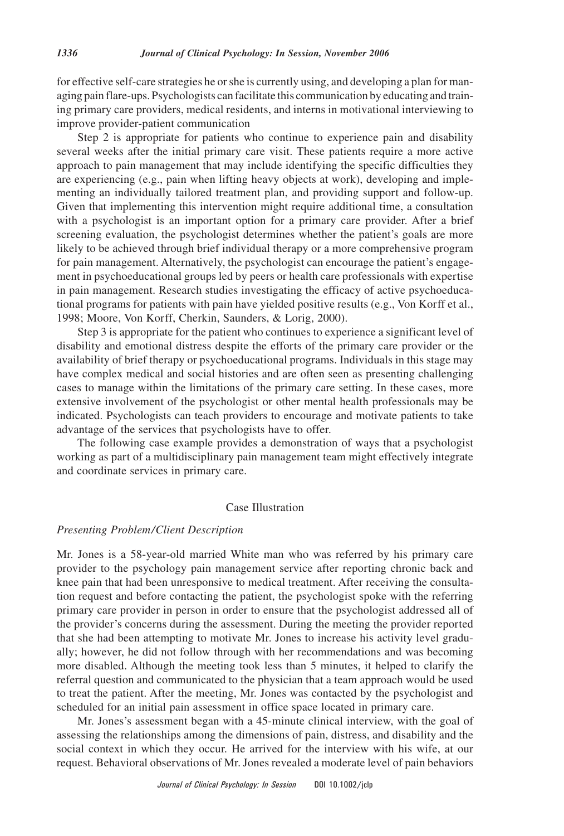for effective self-care strategies he or she is currently using, and developing a plan for managing pain flare-ups. Psychologists can facilitate this communication by educating and training primary care providers, medical residents, and interns in motivational interviewing to improve provider-patient communication

Step 2 is appropriate for patients who continue to experience pain and disability several weeks after the initial primary care visit. These patients require a more active approach to pain management that may include identifying the specific difficulties they are experiencing (e.g., pain when lifting heavy objects at work), developing and implementing an individually tailored treatment plan, and providing support and follow-up. Given that implementing this intervention might require additional time, a consultation with a psychologist is an important option for a primary care provider. After a brief screening evaluation, the psychologist determines whether the patient's goals are more likely to be achieved through brief individual therapy or a more comprehensive program for pain management. Alternatively, the psychologist can encourage the patient's engagement in psychoeducational groups led by peers or health care professionals with expertise in pain management. Research studies investigating the efficacy of active psychoeducational programs for patients with pain have yielded positive results (e.g., Von Korff et al., 1998; Moore, Von Korff, Cherkin, Saunders, & Lorig, 2000).

Step 3 is appropriate for the patient who continues to experience a significant level of disability and emotional distress despite the efforts of the primary care provider or the availability of brief therapy or psychoeducational programs. Individuals in this stage may have complex medical and social histories and are often seen as presenting challenging cases to manage within the limitations of the primary care setting. In these cases, more extensive involvement of the psychologist or other mental health professionals may be indicated. Psychologists can teach providers to encourage and motivate patients to take advantage of the services that psychologists have to offer.

The following case example provides a demonstration of ways that a psychologist working as part of a multidisciplinary pain management team might effectively integrate and coordinate services in primary care.

## Case Illustration

#### *Presenting Problem/Client Description*

Mr. Jones is a 58-year-old married White man who was referred by his primary care provider to the psychology pain management service after reporting chronic back and knee pain that had been unresponsive to medical treatment. After receiving the consultation request and before contacting the patient, the psychologist spoke with the referring primary care provider in person in order to ensure that the psychologist addressed all of the provider's concerns during the assessment. During the meeting the provider reported that she had been attempting to motivate Mr. Jones to increase his activity level gradually; however, he did not follow through with her recommendations and was becoming more disabled. Although the meeting took less than 5 minutes, it helped to clarify the referral question and communicated to the physician that a team approach would be used to treat the patient. After the meeting, Mr. Jones was contacted by the psychologist and scheduled for an initial pain assessment in office space located in primary care.

Mr. Jones's assessment began with a 45-minute clinical interview, with the goal of assessing the relationships among the dimensions of pain, distress, and disability and the social context in which they occur. He arrived for the interview with his wife, at our request. Behavioral observations of Mr. Jones revealed a moderate level of pain behaviors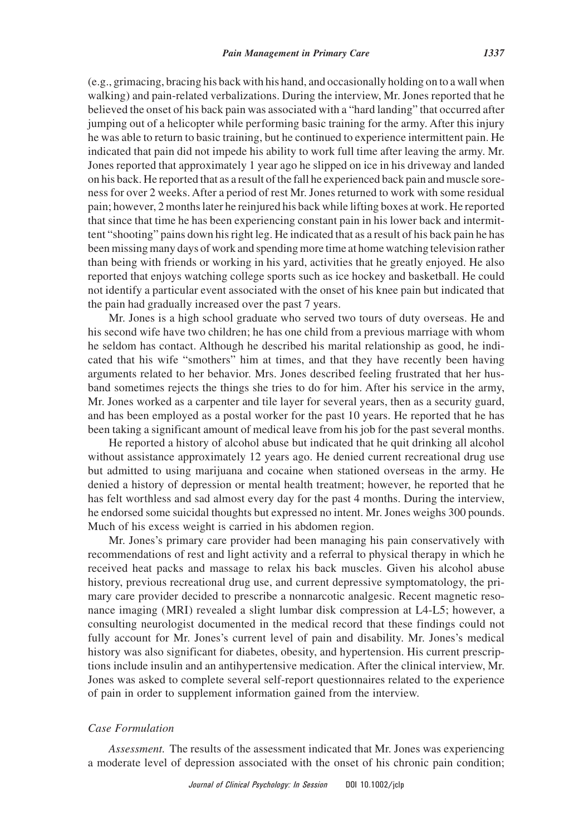(e.g., grimacing, bracing his back with his hand, and occasionally holding on to a wall when walking) and pain-related verbalizations. During the interview, Mr. Jones reported that he believed the onset of his back pain was associated with a "hard landing" that occurred after jumping out of a helicopter while performing basic training for the army. After this injury he was able to return to basic training, but he continued to experience intermittent pain. He indicated that pain did not impede his ability to work full time after leaving the army. Mr. Jones reported that approximately 1 year ago he slipped on ice in his driveway and landed on his back. He reported that as a result of the fall he experienced back pain and muscle soreness for over 2 weeks. After a period of rest Mr. Jones returned to work with some residual pain; however, 2 months later he reinjured his back while lifting boxes at work. He reported that since that time he has been experiencing constant pain in his lower back and intermittent "shooting" pains down his right leg. He indicated that as a result of his back pain he has been missing many days of work and spending more time at home watching television rather than being with friends or working in his yard, activities that he greatly enjoyed. He also reported that enjoys watching college sports such as ice hockey and basketball. He could not identify a particular event associated with the onset of his knee pain but indicated that the pain had gradually increased over the past 7 years.

Mr. Jones is a high school graduate who served two tours of duty overseas. He and his second wife have two children; he has one child from a previous marriage with whom he seldom has contact. Although he described his marital relationship as good, he indicated that his wife "smothers" him at times, and that they have recently been having arguments related to her behavior. Mrs. Jones described feeling frustrated that her husband sometimes rejects the things she tries to do for him. After his service in the army, Mr. Jones worked as a carpenter and tile layer for several years, then as a security guard, and has been employed as a postal worker for the past 10 years. He reported that he has been taking a significant amount of medical leave from his job for the past several months.

He reported a history of alcohol abuse but indicated that he quit drinking all alcohol without assistance approximately 12 years ago. He denied current recreational drug use but admitted to using marijuana and cocaine when stationed overseas in the army. He denied a history of depression or mental health treatment; however, he reported that he has felt worthless and sad almost every day for the past 4 months. During the interview, he endorsed some suicidal thoughts but expressed no intent. Mr. Jones weighs 300 pounds. Much of his excess weight is carried in his abdomen region.

Mr. Jones's primary care provider had been managing his pain conservatively with recommendations of rest and light activity and a referral to physical therapy in which he received heat packs and massage to relax his back muscles. Given his alcohol abuse history, previous recreational drug use, and current depressive symptomatology, the primary care provider decided to prescribe a nonnarcotic analgesic. Recent magnetic resonance imaging (MRI) revealed a slight lumbar disk compression at L4-L5; however, a consulting neurologist documented in the medical record that these findings could not fully account for Mr. Jones's current level of pain and disability. Mr. Jones's medical history was also significant for diabetes, obesity, and hypertension. His current prescriptions include insulin and an antihypertensive medication. After the clinical interview, Mr. Jones was asked to complete several self-report questionnaires related to the experience of pain in order to supplement information gained from the interview.

## *Case Formulation*

*Assessment.* The results of the assessment indicated that Mr. Jones was experiencing a moderate level of depression associated with the onset of his chronic pain condition;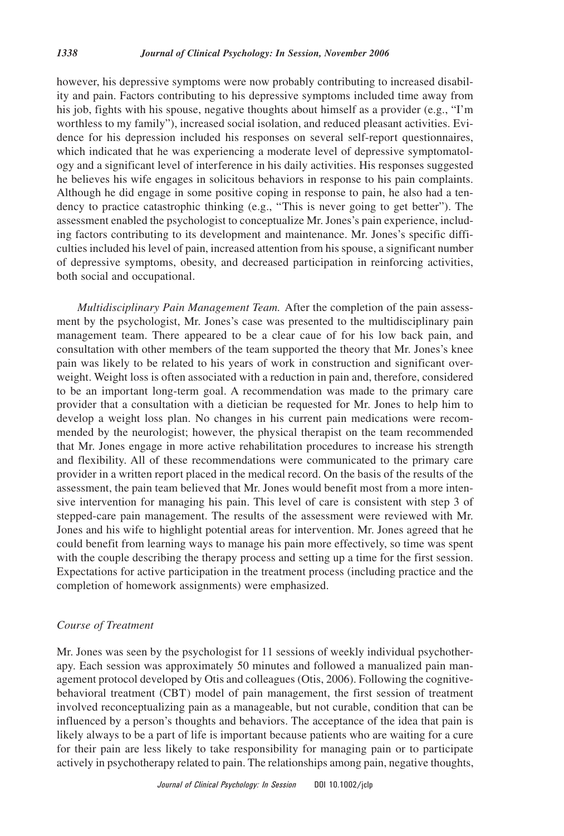however, his depressive symptoms were now probably contributing to increased disability and pain. Factors contributing to his depressive symptoms included time away from his job, fights with his spouse, negative thoughts about himself as a provider (e.g., "I'm worthless to my family"), increased social isolation, and reduced pleasant activities. Evidence for his depression included his responses on several self-report questionnaires, which indicated that he was experiencing a moderate level of depressive symptomatology and a significant level of interference in his daily activities. His responses suggested he believes his wife engages in solicitous behaviors in response to his pain complaints. Although he did engage in some positive coping in response to pain, he also had a tendency to practice catastrophic thinking (e.g., "This is never going to get better"). The assessment enabled the psychologist to conceptualize Mr. Jones's pain experience, including factors contributing to its development and maintenance. Mr. Jones's specific difficulties included his level of pain, increased attention from his spouse, a significant number of depressive symptoms, obesity, and decreased participation in reinforcing activities, both social and occupational.

*Multidisciplinary Pain Management Team.* After the completion of the pain assessment by the psychologist, Mr. Jones's case was presented to the multidisciplinary pain management team. There appeared to be a clear caue of for his low back pain, and consultation with other members of the team supported the theory that Mr. Jones's knee pain was likely to be related to his years of work in construction and significant overweight. Weight loss is often associated with a reduction in pain and, therefore, considered to be an important long-term goal. A recommendation was made to the primary care provider that a consultation with a dietician be requested for Mr. Jones to help him to develop a weight loss plan. No changes in his current pain medications were recommended by the neurologist; however, the physical therapist on the team recommended that Mr. Jones engage in more active rehabilitation procedures to increase his strength and flexibility. All of these recommendations were communicated to the primary care provider in a written report placed in the medical record. On the basis of the results of the assessment, the pain team believed that Mr. Jones would benefit most from a more intensive intervention for managing his pain. This level of care is consistent with step 3 of stepped-care pain management. The results of the assessment were reviewed with Mr. Jones and his wife to highlight potential areas for intervention. Mr. Jones agreed that he could benefit from learning ways to manage his pain more effectively, so time was spent with the couple describing the therapy process and setting up a time for the first session. Expectations for active participation in the treatment process (including practice and the completion of homework assignments) were emphasized.

## *Course of Treatment*

Mr. Jones was seen by the psychologist for 11 sessions of weekly individual psychotherapy. Each session was approximately 50 minutes and followed a manualized pain management protocol developed by Otis and colleagues (Otis, 2006). Following the cognitivebehavioral treatment (CBT) model of pain management, the first session of treatment involved reconceptualizing pain as a manageable, but not curable, condition that can be influenced by a person's thoughts and behaviors. The acceptance of the idea that pain is likely always to be a part of life is important because patients who are waiting for a cure for their pain are less likely to take responsibility for managing pain or to participate actively in psychotherapy related to pain. The relationships among pain, negative thoughts,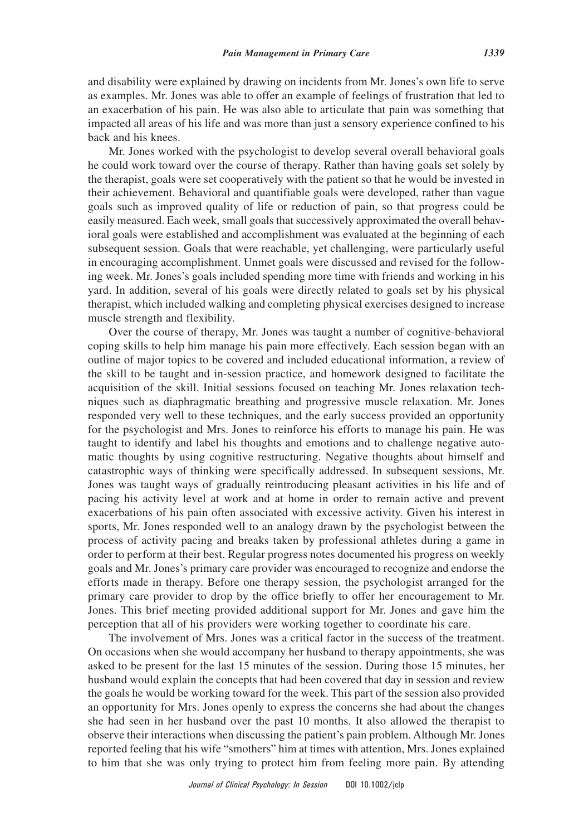and disability were explained by drawing on incidents from Mr. Jones's own life to serve as examples. Mr. Jones was able to offer an example of feelings of frustration that led to an exacerbation of his pain. He was also able to articulate that pain was something that impacted all areas of his life and was more than just a sensory experience confined to his back and his knees.

Mr. Jones worked with the psychologist to develop several overall behavioral goals he could work toward over the course of therapy. Rather than having goals set solely by the therapist, goals were set cooperatively with the patient so that he would be invested in their achievement. Behavioral and quantifiable goals were developed, rather than vague goals such as improved quality of life or reduction of pain, so that progress could be easily measured. Each week, small goals that successively approximated the overall behavioral goals were established and accomplishment was evaluated at the beginning of each subsequent session. Goals that were reachable, yet challenging, were particularly useful in encouraging accomplishment. Unmet goals were discussed and revised for the following week. Mr. Jones's goals included spending more time with friends and working in his yard. In addition, several of his goals were directly related to goals set by his physical therapist, which included walking and completing physical exercises designed to increase muscle strength and flexibility.

Over the course of therapy, Mr. Jones was taught a number of cognitive-behavioral coping skills to help him manage his pain more effectively. Each session began with an outline of major topics to be covered and included educational information, a review of the skill to be taught and in-session practice, and homework designed to facilitate the acquisition of the skill. Initial sessions focused on teaching Mr. Jones relaxation techniques such as diaphragmatic breathing and progressive muscle relaxation. Mr. Jones responded very well to these techniques, and the early success provided an opportunity for the psychologist and Mrs. Jones to reinforce his efforts to manage his pain. He was taught to identify and label his thoughts and emotions and to challenge negative automatic thoughts by using cognitive restructuring. Negative thoughts about himself and catastrophic ways of thinking were specifically addressed. In subsequent sessions, Mr. Jones was taught ways of gradually reintroducing pleasant activities in his life and of pacing his activity level at work and at home in order to remain active and prevent exacerbations of his pain often associated with excessive activity. Given his interest in sports, Mr. Jones responded well to an analogy drawn by the psychologist between the process of activity pacing and breaks taken by professional athletes during a game in order to perform at their best. Regular progress notes documented his progress on weekly goals and Mr. Jones's primary care provider was encouraged to recognize and endorse the efforts made in therapy. Before one therapy session, the psychologist arranged for the primary care provider to drop by the office briefly to offer her encouragement to Mr. Jones. This brief meeting provided additional support for Mr. Jones and gave him the perception that all of his providers were working together to coordinate his care.

The involvement of Mrs. Jones was a critical factor in the success of the treatment. On occasions when she would accompany her husband to therapy appointments, she was asked to be present for the last 15 minutes of the session. During those 15 minutes, her husband would explain the concepts that had been covered that day in session and review the goals he would be working toward for the week. This part of the session also provided an opportunity for Mrs. Jones openly to express the concerns she had about the changes she had seen in her husband over the past 10 months. It also allowed the therapist to observe their interactions when discussing the patient's pain problem. Although Mr. Jones reported feeling that his wife "smothers" him at times with attention, Mrs. Jones explained to him that she was only trying to protect him from feeling more pain. By attending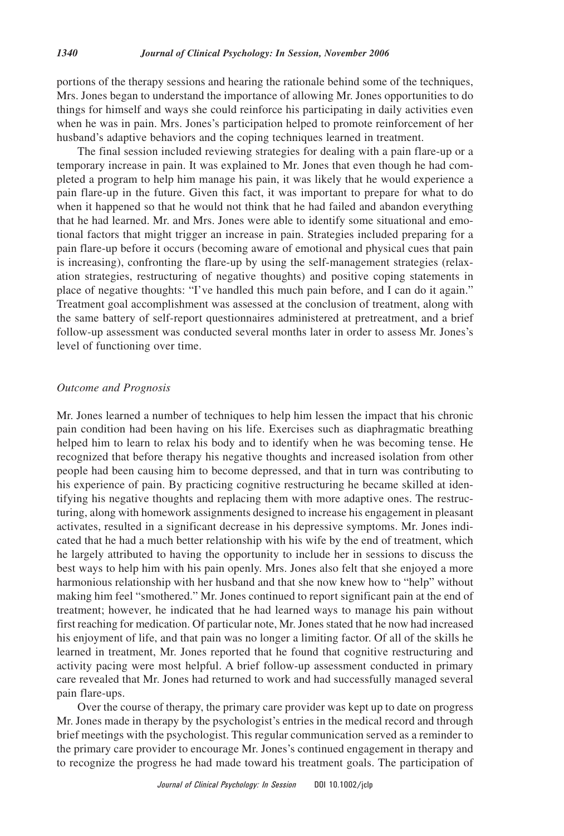portions of the therapy sessions and hearing the rationale behind some of the techniques, Mrs. Jones began to understand the importance of allowing Mr. Jones opportunities to do things for himself and ways she could reinforce his participating in daily activities even when he was in pain. Mrs. Jones's participation helped to promote reinforcement of her husband's adaptive behaviors and the coping techniques learned in treatment.

The final session included reviewing strategies for dealing with a pain flare-up or a temporary increase in pain. It was explained to Mr. Jones that even though he had completed a program to help him manage his pain, it was likely that he would experience a pain flare-up in the future. Given this fact, it was important to prepare for what to do when it happened so that he would not think that he had failed and abandon everything that he had learned. Mr. and Mrs. Jones were able to identify some situational and emotional factors that might trigger an increase in pain. Strategies included preparing for a pain flare-up before it occurs (becoming aware of emotional and physical cues that pain is increasing), confronting the flare-up by using the self-management strategies (relaxation strategies, restructuring of negative thoughts) and positive coping statements in place of negative thoughts: "I've handled this much pain before, and I can do it again." Treatment goal accomplishment was assessed at the conclusion of treatment, along with the same battery of self-report questionnaires administered at pretreatment, and a brief follow-up assessment was conducted several months later in order to assess Mr. Jones's level of functioning over time.

#### *Outcome and Prognosis*

Mr. Jones learned a number of techniques to help him lessen the impact that his chronic pain condition had been having on his life. Exercises such as diaphragmatic breathing helped him to learn to relax his body and to identify when he was becoming tense. He recognized that before therapy his negative thoughts and increased isolation from other people had been causing him to become depressed, and that in turn was contributing to his experience of pain. By practicing cognitive restructuring he became skilled at identifying his negative thoughts and replacing them with more adaptive ones. The restructuring, along with homework assignments designed to increase his engagement in pleasant activates, resulted in a significant decrease in his depressive symptoms. Mr. Jones indicated that he had a much better relationship with his wife by the end of treatment, which he largely attributed to having the opportunity to include her in sessions to discuss the best ways to help him with his pain openly. Mrs. Jones also felt that she enjoyed a more harmonious relationship with her husband and that she now knew how to "help" without making him feel "smothered." Mr. Jones continued to report significant pain at the end of treatment; however, he indicated that he had learned ways to manage his pain without first reaching for medication. Of particular note, Mr. Jones stated that he now had increased his enjoyment of life, and that pain was no longer a limiting factor. Of all of the skills he learned in treatment, Mr. Jones reported that he found that cognitive restructuring and activity pacing were most helpful. A brief follow-up assessment conducted in primary care revealed that Mr. Jones had returned to work and had successfully managed several pain flare-ups.

Over the course of therapy, the primary care provider was kept up to date on progress Mr. Jones made in therapy by the psychologist's entries in the medical record and through brief meetings with the psychologist. This regular communication served as a reminder to the primary care provider to encourage Mr. Jones's continued engagement in therapy and to recognize the progress he had made toward his treatment goals. The participation of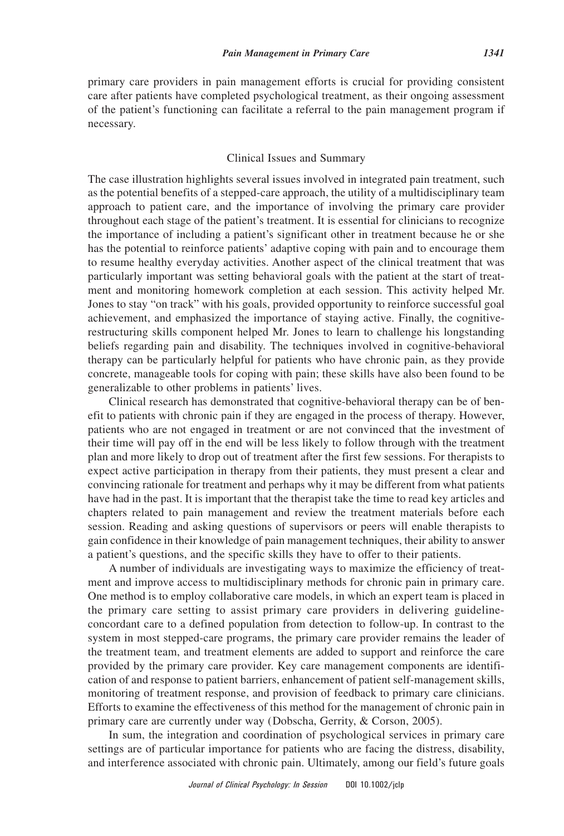primary care providers in pain management efforts is crucial for providing consistent care after patients have completed psychological treatment, as their ongoing assessment of the patient's functioning can facilitate a referral to the pain management program if necessary.

# Clinical Issues and Summary

The case illustration highlights several issues involved in integrated pain treatment, such as the potential benefits of a stepped-care approach, the utility of a multidisciplinary team approach to patient care, and the importance of involving the primary care provider throughout each stage of the patient's treatment. It is essential for clinicians to recognize the importance of including a patient's significant other in treatment because he or she has the potential to reinforce patients' adaptive coping with pain and to encourage them to resume healthy everyday activities. Another aspect of the clinical treatment that was particularly important was setting behavioral goals with the patient at the start of treatment and monitoring homework completion at each session. This activity helped Mr. Jones to stay "on track" with his goals, provided opportunity to reinforce successful goal achievement, and emphasized the importance of staying active. Finally, the cognitiverestructuring skills component helped Mr. Jones to learn to challenge his longstanding beliefs regarding pain and disability. The techniques involved in cognitive-behavioral therapy can be particularly helpful for patients who have chronic pain, as they provide concrete, manageable tools for coping with pain; these skills have also been found to be generalizable to other problems in patients' lives.

Clinical research has demonstrated that cognitive-behavioral therapy can be of benefit to patients with chronic pain if they are engaged in the process of therapy. However, patients who are not engaged in treatment or are not convinced that the investment of their time will pay off in the end will be less likely to follow through with the treatment plan and more likely to drop out of treatment after the first few sessions. For therapists to expect active participation in therapy from their patients, they must present a clear and convincing rationale for treatment and perhaps why it may be different from what patients have had in the past. It is important that the therapist take the time to read key articles and chapters related to pain management and review the treatment materials before each session. Reading and asking questions of supervisors or peers will enable therapists to gain confidence in their knowledge of pain management techniques, their ability to answer a patient's questions, and the specific skills they have to offer to their patients.

A number of individuals are investigating ways to maximize the efficiency of treatment and improve access to multidisciplinary methods for chronic pain in primary care. One method is to employ collaborative care models, in which an expert team is placed in the primary care setting to assist primary care providers in delivering guidelineconcordant care to a defined population from detection to follow-up. In contrast to the system in most stepped-care programs, the primary care provider remains the leader of the treatment team, and treatment elements are added to support and reinforce the care provided by the primary care provider. Key care management components are identification of and response to patient barriers, enhancement of patient self-management skills, monitoring of treatment response, and provision of feedback to primary care clinicians. Efforts to examine the effectiveness of this method for the management of chronic pain in primary care are currently under way (Dobscha, Gerrity, & Corson, 2005).

In sum, the integration and coordination of psychological services in primary care settings are of particular importance for patients who are facing the distress, disability, and interference associated with chronic pain. Ultimately, among our field's future goals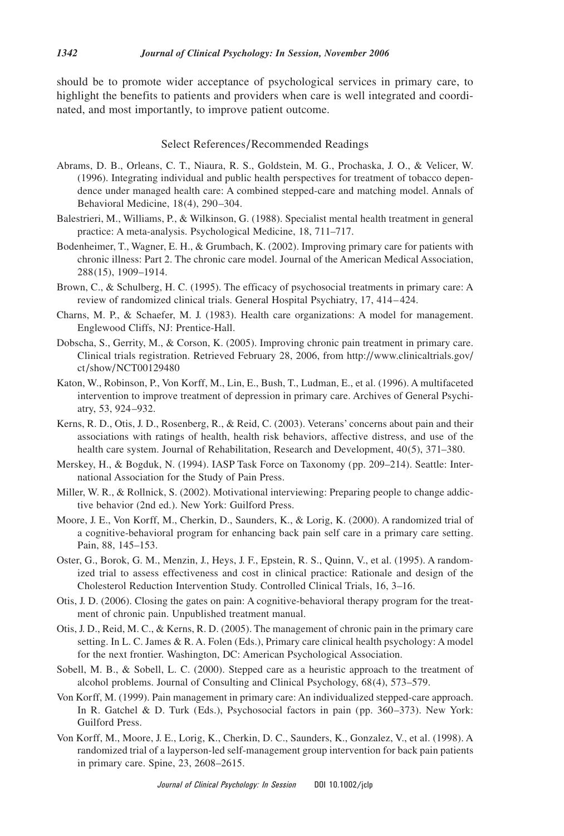should be to promote wider acceptance of psychological services in primary care, to highlight the benefits to patients and providers when care is well integrated and coordinated, and most importantly, to improve patient outcome.

#### Select References/Recommended Readings

- Abrams, D. B., Orleans, C. T., Niaura, R. S., Goldstein, M. G., Prochaska, J. O., & Velicer, W. (1996). Integrating individual and public health perspectives for treatment of tobacco dependence under managed health care: A combined stepped-care and matching model. Annals of Behavioral Medicine, 18(4), 290–304.
- Balestrieri, M., Williams, P., & Wilkinson, G. (1988). Specialist mental health treatment in general practice: A meta-analysis. Psychological Medicine, 18, 711–717.
- Bodenheimer, T., Wagner, E. H., & Grumbach, K. (2002). Improving primary care for patients with chronic illness: Part 2. The chronic care model. Journal of the American Medical Association, 288(15), 1909–1914.
- Brown, C., & Schulberg, H. C. (1995). The efficacy of psychosocial treatments in primary care: A review of randomized clinical trials. General Hospital Psychiatry, 17, 414– 424.
- Charns, M. P., & Schaefer, M. J. (1983). Health care organizations: A model for management. Englewood Cliffs, NJ: Prentice-Hall.
- Dobscha, S., Gerrity, M., & Corson, K. (2005). Improving chronic pain treatment in primary care. Clinical trials registration. Retrieved February 28, 2006, from http://www.clinicaltrials.gov/ ct/show/NCT00129480
- Katon, W., Robinson, P., Von Korff, M., Lin, E., Bush, T., Ludman, E., et al. (1996). A multifaceted intervention to improve treatment of depression in primary care. Archives of General Psychiatry, 53, 924–932.
- Kerns, R. D., Otis, J. D., Rosenberg, R., & Reid, C. (2003). Veterans' concerns about pain and their associations with ratings of health, health risk behaviors, affective distress, and use of the health care system. Journal of Rehabilitation, Research and Development, 40(5), 371–380.
- Merskey, H., & Bogduk, N. (1994). IASP Task Force on Taxonomy (pp. 209–214). Seattle: International Association for the Study of Pain Press.
- Miller, W. R., & Rollnick, S. (2002). Motivational interviewing: Preparing people to change addictive behavior (2nd ed.). New York: Guilford Press.
- Moore, J. E., Von Korff, M., Cherkin, D., Saunders, K., & Lorig, K. (2000). A randomized trial of a cognitive-behavioral program for enhancing back pain self care in a primary care setting. Pain, 88, 145–153.
- Oster, G., Borok, G. M., Menzin, J., Heys, J. F., Epstein, R. S., Quinn, V., et al. (1995). A randomized trial to assess effectiveness and cost in clinical practice: Rationale and design of the Cholesterol Reduction Intervention Study. Controlled Clinical Trials, 16, 3–16.
- Otis, J. D. (2006). Closing the gates on pain: A cognitive-behavioral therapy program for the treatment of chronic pain. Unpublished treatment manual.
- Otis, J. D., Reid, M. C., & Kerns, R. D. (2005). The management of chronic pain in the primary care setting. In L. C. James & R. A. Folen (Eds.), Primary care clinical health psychology: A model for the next frontier. Washington, DC: American Psychological Association.
- Sobell, M. B., & Sobell, L. C. (2000). Stepped care as a heuristic approach to the treatment of alcohol problems. Journal of Consulting and Clinical Psychology, 68(4), 573–579.
- Von Korff, M. (1999). Pain management in primary care: An individualized stepped-care approach. In R. Gatchel & D. Turk (Eds.), Psychosocial factors in pain (pp. 360–373). New York: Guilford Press.
- Von Korff, M., Moore, J. E., Lorig, K., Cherkin, D. C., Saunders, K., Gonzalez, V., et al. (1998). A randomized trial of a layperson-led self-management group intervention for back pain patients in primary care. Spine, 23, 2608–2615.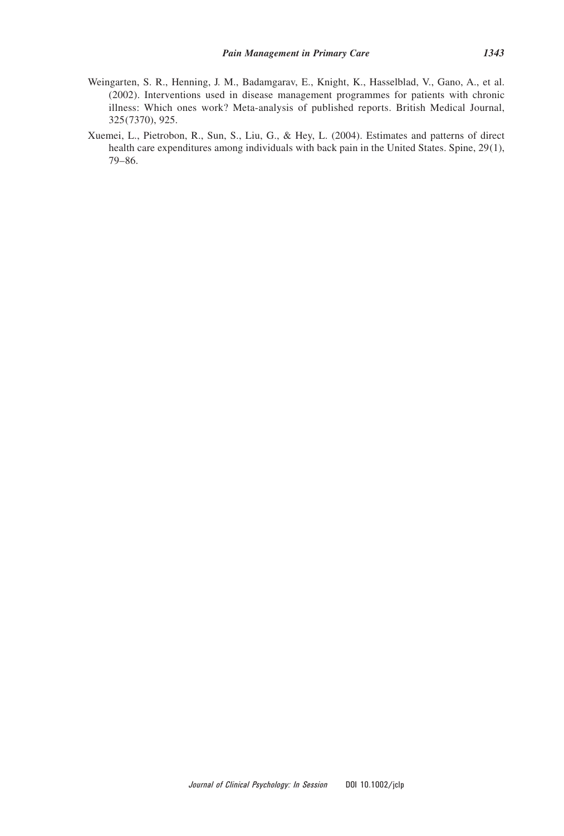- Weingarten, S. R., Henning, J. M., Badamgarav, E., Knight, K., Hasselblad, V., Gano, A., et al. (2002). Interventions used in disease management programmes for patients with chronic illness: Which ones work? Meta-analysis of published reports. British Medical Journal, 325(7370), 925.
- Xuemei, L., Pietrobon, R., Sun, S., Liu, G., & Hey, L. (2004). Estimates and patterns of direct health care expenditures among individuals with back pain in the United States. Spine, 29(1), 79–86.